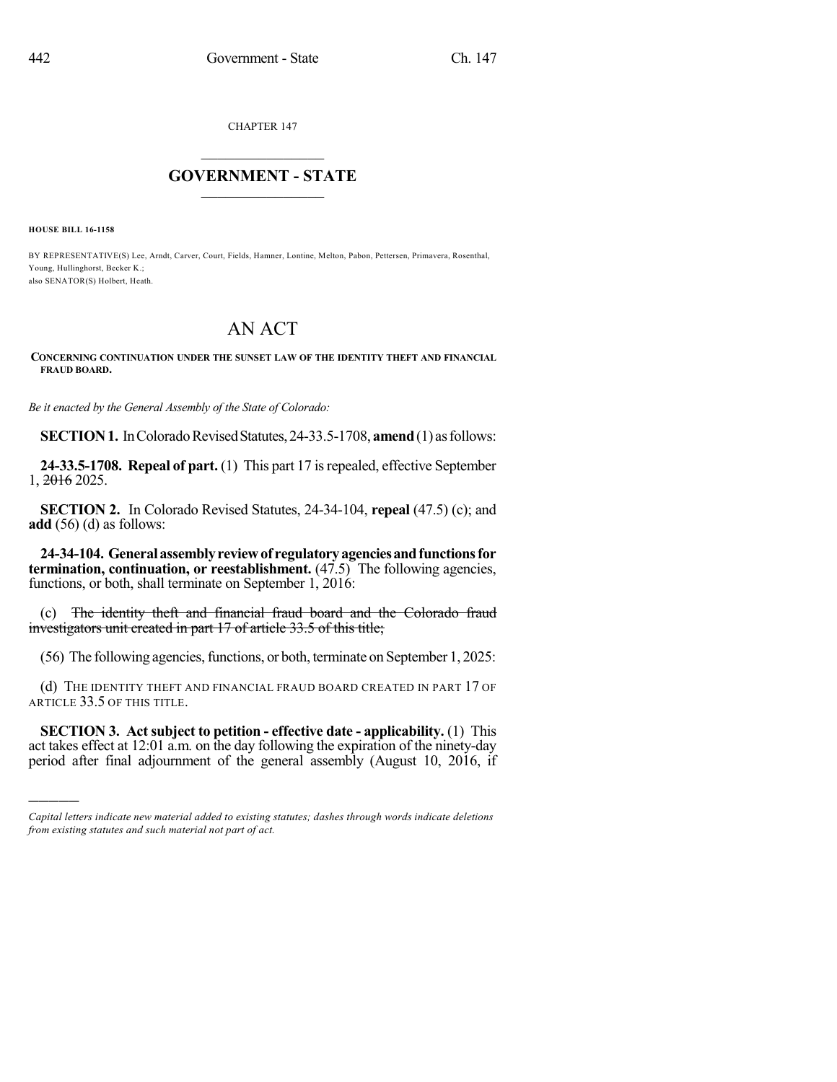CHAPTER 147

## $\overline{\phantom{a}}$  . The set of the set of the set of the set of the set of the set of the set of the set of the set of the set of the set of the set of the set of the set of the set of the set of the set of the set of the set o **GOVERNMENT - STATE**  $\_$

**HOUSE BILL 16-1158**

)))))

BY REPRESENTATIVE(S) Lee, Arndt, Carver, Court, Fields, Hamner, Lontine, Melton, Pabon, Pettersen, Primavera, Rosenthal, Young, Hullinghorst, Becker K.; also SENATOR(S) Holbert, Heath.

## AN ACT

## **CONCERNING CONTINUATION UNDER THE SUNSET LAW OF THE IDENTITY THEFT AND FINANCIAL FRAUD BOARD.**

*Be it enacted by the General Assembly of the State of Colorado:*

**SECTION 1.** In Colorado Revised Statutes, 24-33.5-1708, **amend** (1) as follows:

**24-33.5-1708. Repeal of part.** (1) This part 17 isrepealed, effective September 1, 2016 2025.

**SECTION 2.** In Colorado Revised Statutes, 24-34-104, **repeal** (47.5) (c); and **add** (56) (d) as follows:

**24-34-104. Generalassemblyreviewof regulatoryagenciesandfunctionsfor termination, continuation, or reestablishment.** (47.5) The following agencies, functions, or both, shall terminate on September 1, 2016:

(c) The identity theft and financial fraud board and the Colorado fraud investigators unit created in part 17 of article 33.5 of this title;

(56) The following agencies, functions, or both, terminate on September 1, 2025:

(d) THE IDENTITY THEFT AND FINANCIAL FRAUD BOARD CREATED IN PART 17 OF ARTICLE 33.5 OF THIS TITLE.

**SECTION 3. Act subject to petition - effective date - applicability.** (1) This act takes effect at 12:01 a.m. on the day following the expiration of the ninety-day period after final adjournment of the general assembly (August 10, 2016, if

*Capital letters indicate new material added to existing statutes; dashes through words indicate deletions from existing statutes and such material not part of act.*